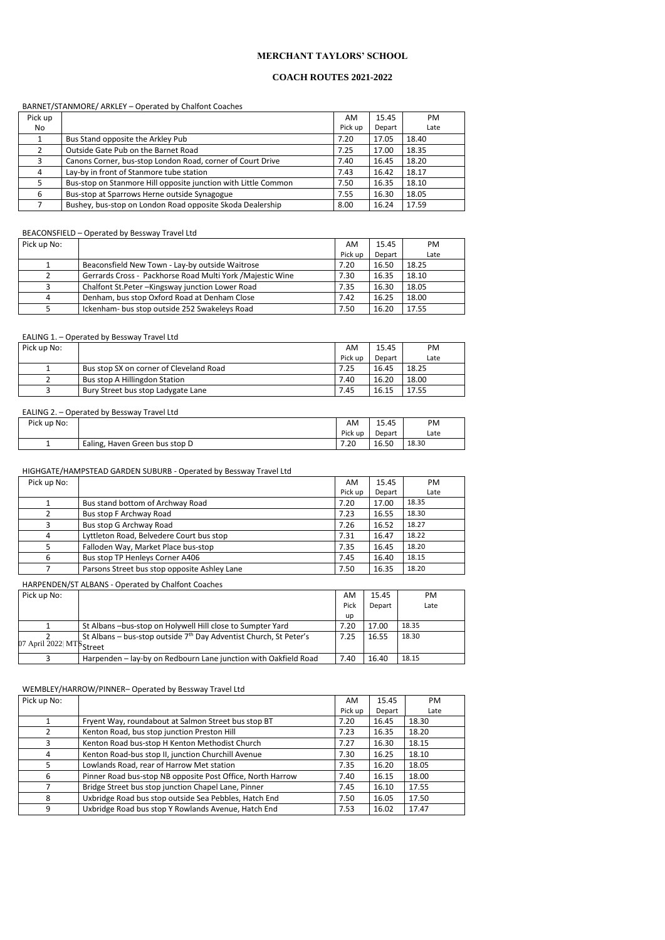## **MERCHANT TAYLORS' SCHOOL**

### **COACH ROUTES 2021-2022**

#### BARNET/STANMORE/ ARKLEY – Operated by Chalfont Coaches

| Pick up |                                                                | AM      | 15.45  | <b>PM</b> |
|---------|----------------------------------------------------------------|---------|--------|-----------|
| No      |                                                                | Pick up | Depart | Late      |
|         | Bus Stand opposite the Arkley Pub                              | 7.20    | 17.05  | 18.40     |
|         | Outside Gate Pub on the Barnet Road                            | 7.25    | 17.00  | 18.35     |
| 3       | Canons Corner, bus-stop London Road, corner of Court Drive     | 7.40    | 16.45  | 18.20     |
| 4       | Lay-by in front of Stanmore tube station                       | 7.43    | 16.42  | 18.17     |
|         | Bus-stop on Stanmore Hill opposite junction with Little Common | 7.50    | 16.35  | 18.10     |
| 6       | Bus-stop at Sparrows Herne outside Synagogue                   | 7.55    | 16.30  | 18.05     |
|         | Bushey, bus-stop on London Road opposite Skoda Dealership      | 8.00    | 16.24  | 17.59     |

## BEACONSFIELD – Operated by Bessway Travel Ltd

| Pick up No: |                                                            | AM.     | 15.45  | PM.   |
|-------------|------------------------------------------------------------|---------|--------|-------|
|             |                                                            | Pick up | Depart | Late  |
|             | Beaconsfield New Town - Lay-by outside Waitrose            | 7.20    | 16.50  | 18.25 |
|             | Gerrards Cross - Packhorse Road Multi York / Majestic Wine | 7.30    | 16.35  | 18.10 |
|             | Chalfont St.Peter - Kingsway junction Lower Road           | 7.35    | 16.30  | 18.05 |
| $\Lambda$   | Denham, bus stop Oxford Road at Denham Close               | 7.42    | 16.25  | 18.00 |
|             | Ickenham- bus stop outside 252 Swakeleys Road              | 7.50    | 16.20  | 17.55 |

#### EALING 1. – Operated by Bessway Travel Ltd

| Pick up No:               |                                                                     | AM   | 15.45  | <b>PM</b> |
|---------------------------|---------------------------------------------------------------------|------|--------|-----------|
|                           |                                                                     | Pick | Depart | Late      |
|                           |                                                                     | up   |        |           |
|                           | St Albans -bus-stop on Holywell Hill close to Sumpter Yard          | 7.20 | 17.00  | 18.35     |
|                           | St Albans – bus-stop outside $7th$ Day Adventist Church, St Peter's | 7.25 | 16.55  | 18.30     |
| 07 April 2022  MTS Street |                                                                     |      |        |           |
|                           | Harpenden - lay-by on Redbourn Lane junction with Oakfield Road     | 7.40 | 16.40  | 18.15     |

| Pick up No: |                                         | AM      | 15.45  | PM.   |
|-------------|-----------------------------------------|---------|--------|-------|
|             |                                         | Pick up | Depart | Late  |
|             | Bus stop SX on corner of Cleveland Road | 7.25    | 16.45  | 18.25 |
|             | Bus stop A Hillingdon Station           | 7.40    | 16.20  | 18.00 |
|             | Bury Street bus stop Ladygate Lane      | 7.45    | 16.15  | 17.55 |

#### EALING 2. – Operated by Bessway Travel Ltd

| Pick up No: |                                | AM      | 15.45  | PM    |
|-------------|--------------------------------|---------|--------|-------|
|             |                                | Pick up | Depart | Late  |
| --          | Ealing, Haven Green bus stop D | 7.20    | 16.50  | 18.30 |

#### HIGHGATE/HAMPSTEAD GARDEN SUBURB - Operated by Bessway Travel Ltd

| Pick up No: |                                              | AM      | 15.45  | PM    |
|-------------|----------------------------------------------|---------|--------|-------|
|             |                                              | Pick up | Depart | Late  |
|             | Bus stand bottom of Archway Road             | 7.20    | 17.00  | 18.35 |
|             | Bus stop F Archway Road                      | 7.23    | 16.55  | 18.30 |
|             | Bus stop G Archway Road                      | 7.26    | 16.52  | 18.27 |
| 4           | Lyttleton Road, Belvedere Court bus stop     | 7.31    | 16.47  | 18.22 |
|             | Falloden Way, Market Place bus-stop          | 7.35    | 16.45  | 18.20 |
| 6           | Bus stop TP Henleys Corner A406              | 7.45    | 16.40  | 18.15 |
|             | Parsons Street bus stop opposite Ashley Lane | 7.50    | 16.35  | 18.20 |

## HARPENDEN/ST ALBANS - Operated by Chalfont Coaches

### WEMBLEY/HARROW/PINNER– Operated by Bessway Travel Ltd

| Pick up No: |  | AM                   | PM  |
|-------------|--|----------------------|-----|
|             |  | $\sim$ $\sim$ $\sim$ | . . |

|   |                                                            | Pick up | Depart | Late  |
|---|------------------------------------------------------------|---------|--------|-------|
|   | Fryent Way, roundabout at Salmon Street bus stop BT        | 7.20    | 16.45  | 18.30 |
|   | Kenton Road, bus stop junction Preston Hill                | 7.23    | 16.35  | 18.20 |
|   | Kenton Road bus-stop H Kenton Methodist Church             | 7.27    | 16.30  | 18.15 |
| 4 | Kenton Road-bus stop II, junction Churchill Avenue         | 7.30    | 16.25  | 18.10 |
|   | Lowlands Road, rear of Harrow Met station                  | 7.35    | 16.20  | 18.05 |
| 6 | Pinner Road bus-stop NB opposite Post Office, North Harrow | 7.40    | 16.15  | 18.00 |
|   | Bridge Street bus stop junction Chapel Lane, Pinner        | 7.45    | 16.10  | 17.55 |
| 8 | Uxbridge Road bus stop outside Sea Pebbles, Hatch End      | 7.50    | 16.05  | 17.50 |
| 9 | Uxbridge Road bus stop Y Rowlands Avenue, Hatch End        | 7.53    | 16.02  | 17.47 |